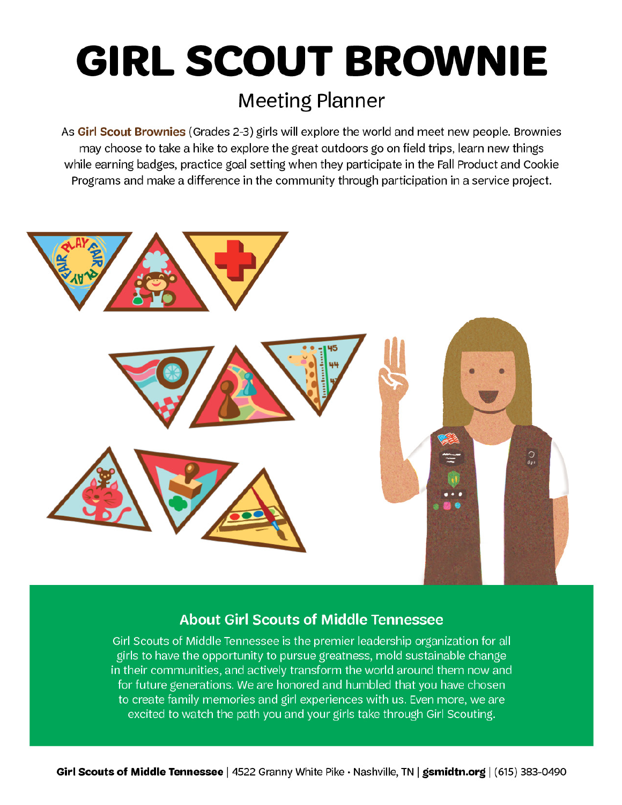# **GIRL SCOUT BROWNIE**

### **Meeting Planner**

As Girl Scout Brownies (Grades 2-3) girls will explore the world and meet new people. Brownies may choose to take a hike to explore the great outdoors go on field trips, learn new things while earning badges, practice goal setting when they participate in the Fall Product and Cookie Programs and make a difference in the community through participation in a service project.



#### **About Girl Scouts of Middle Tennessee**

Girl Scouts of Middle Tennessee is the premier leadership organization for all girls to have the opportunity to pursue greatness, mold sustainable change in their communities, and actively transform the world around them now and for future generations. We are honored and humbled that you have chosen to create family memories and girl experiences with us. Even more, we are excited to watch the path you and your girls take through Girl Scouting.